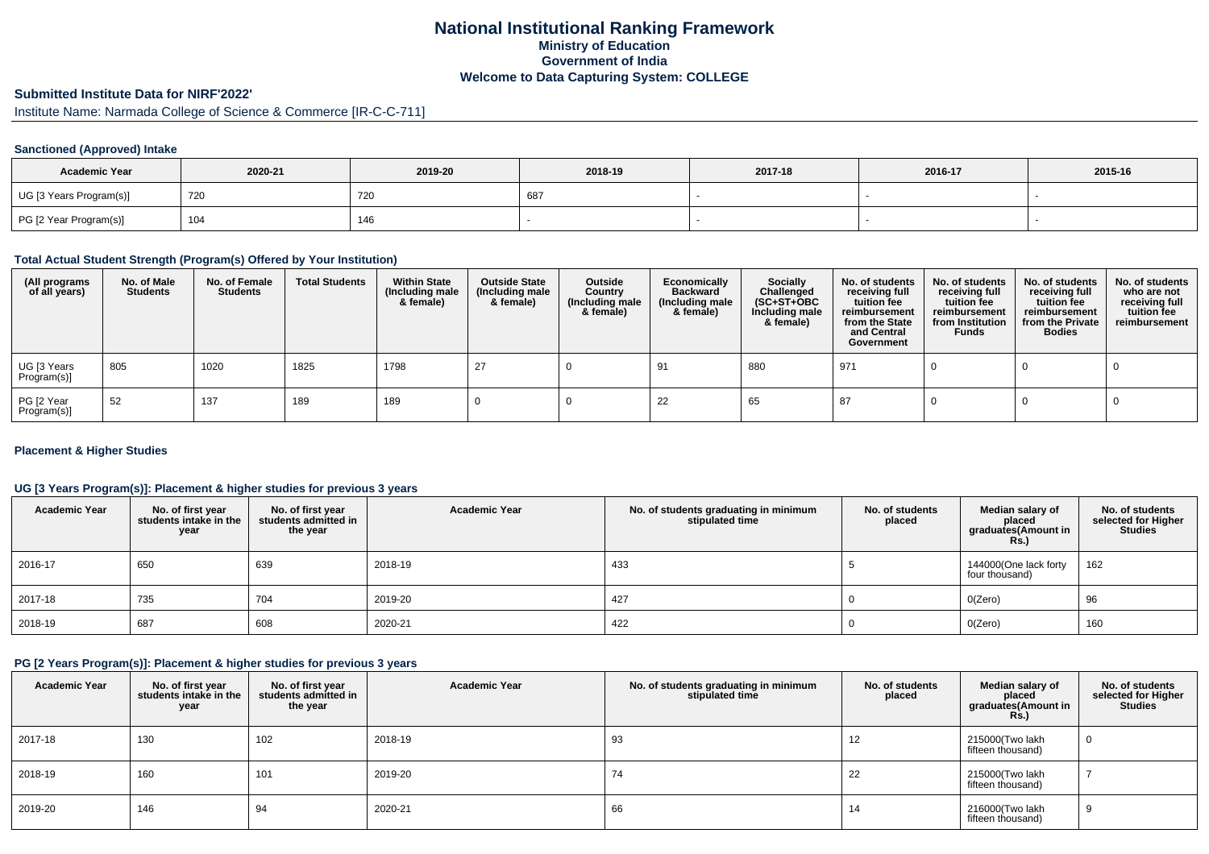# **National Institutional Ranking FrameworkMinistry of Education Government of IndiaWelcome to Data Capturing System: COLLEGE**

# **Submitted Institute Data for NIRF'2022'**

Institute Name: Narmada College of Science & Commerce [IR-C-C-711]

# **Sanctioned (Approved) Intake**

| <b>Academic Year</b>    | 2020-21 | 2019-20 | 2018-19 | 2017-18 | 2016-17 | 2015-16 |
|-------------------------|---------|---------|---------|---------|---------|---------|
| UG [3 Years Program(s)] | 720     | 720     | 68      |         |         |         |
| PG [2 Year Program(s)]  | 104     | 146     |         |         |         |         |

#### **Total Actual Student Strength (Program(s) Offered by Your Institution)**

| (All programs<br>of all years) | No. of Male<br><b>Students</b> | No. of Female<br><b>Students</b> | <b>Total Students</b> | <b>Within State</b><br>(Including male<br>& female) | <b>Outside State</b><br>(Including male<br>& female) | Outside<br>Country<br>(Including male<br>& female) | Economically<br><b>Backward</b><br>(Including male<br>& female) | <b>Socially</b><br>Challenged<br>$(SC+ST+OBC)$<br>Including male<br>& female) | No. of students<br>receiving full<br>tuition fee<br>reimbursement<br>from the State<br>and Central<br>Government | No. of students<br>receiving full<br>tuition fee<br>reimbursement<br>from Institution<br><b>Funds</b> | No. of students<br>receiving full<br>tuition fee<br>reimbursement<br>from the Private<br><b>Bodies</b> | No. of students<br>who are not<br>receiving full<br>tuition fee<br>reimbursement |
|--------------------------------|--------------------------------|----------------------------------|-----------------------|-----------------------------------------------------|------------------------------------------------------|----------------------------------------------------|-----------------------------------------------------------------|-------------------------------------------------------------------------------|------------------------------------------------------------------------------------------------------------------|-------------------------------------------------------------------------------------------------------|--------------------------------------------------------------------------------------------------------|----------------------------------------------------------------------------------|
| UG [3 Years<br>Program(s)]     | 805                            | 1020                             | 1825                  | 1798                                                | 27                                                   |                                                    | -91                                                             | 880                                                                           | 971                                                                                                              |                                                                                                       |                                                                                                        |                                                                                  |
| PG [2 Year<br>Program(s)]      | -52                            | 137                              | 189                   | 189                                                 |                                                      |                                                    | 22                                                              | 65                                                                            | -87                                                                                                              |                                                                                                       |                                                                                                        |                                                                                  |

# **Placement & Higher Studies**

# **UG [3 Years Program(s)]: Placement & higher studies for previous 3 years**

| <b>Academic Year</b> | No. of first year<br>students intake in the<br>year | No. of first year<br>students admitted in<br>the year | <b>Academic Year</b> | No. of students graduating in minimum<br>stipulated time | No. of students<br>placed | Median salary of<br>placed<br>graduates(Amount in<br>Rs. | No. of students<br>selected for Higher<br><b>Studies</b> |
|----------------------|-----------------------------------------------------|-------------------------------------------------------|----------------------|----------------------------------------------------------|---------------------------|----------------------------------------------------------|----------------------------------------------------------|
| 2016-17              | 650                                                 | 639                                                   | 2018-19              | 433                                                      |                           | 144000(One lack forty<br>four thousand)                  | 162                                                      |
| 2017-18              | 735                                                 | 704                                                   | 2019-20              | 427                                                      |                           | O(Zero)                                                  | 96                                                       |
| 2018-19              | 687                                                 | 608                                                   | 2020-21              | 422                                                      |                           | O(Zero)                                                  | 160                                                      |

#### **PG [2 Years Program(s)]: Placement & higher studies for previous 3 years**

| <b>Academic Year</b> | No. of first year<br>students intake in the<br>year | No. of first year<br>students admitted in<br>the year | <b>Academic Year</b> | No. of students graduating in minimum<br>stipulated time | No. of students<br>placed | Median salary of<br>placed<br>graduates(Amount in<br>$RS$ .) | No. of students<br>selected for Higher<br><b>Studies</b> |
|----------------------|-----------------------------------------------------|-------------------------------------------------------|----------------------|----------------------------------------------------------|---------------------------|--------------------------------------------------------------|----------------------------------------------------------|
| 2017-18              | 130                                                 | 102                                                   | 2018-19              | 93                                                       | 12                        | 215000(Two lakh<br>fifteen thousand)                         | U                                                        |
| 2018-19              | 160                                                 | 101                                                   | 2019-20              | 74                                                       | 22                        | 215000(Two lakh<br>fifteen thousand)                         |                                                          |
| 2019-20              | 146                                                 | 94                                                    | 2020-21              | 66                                                       | 14                        | 216000(Two lakh<br>fifteen thousand)                         | 9                                                        |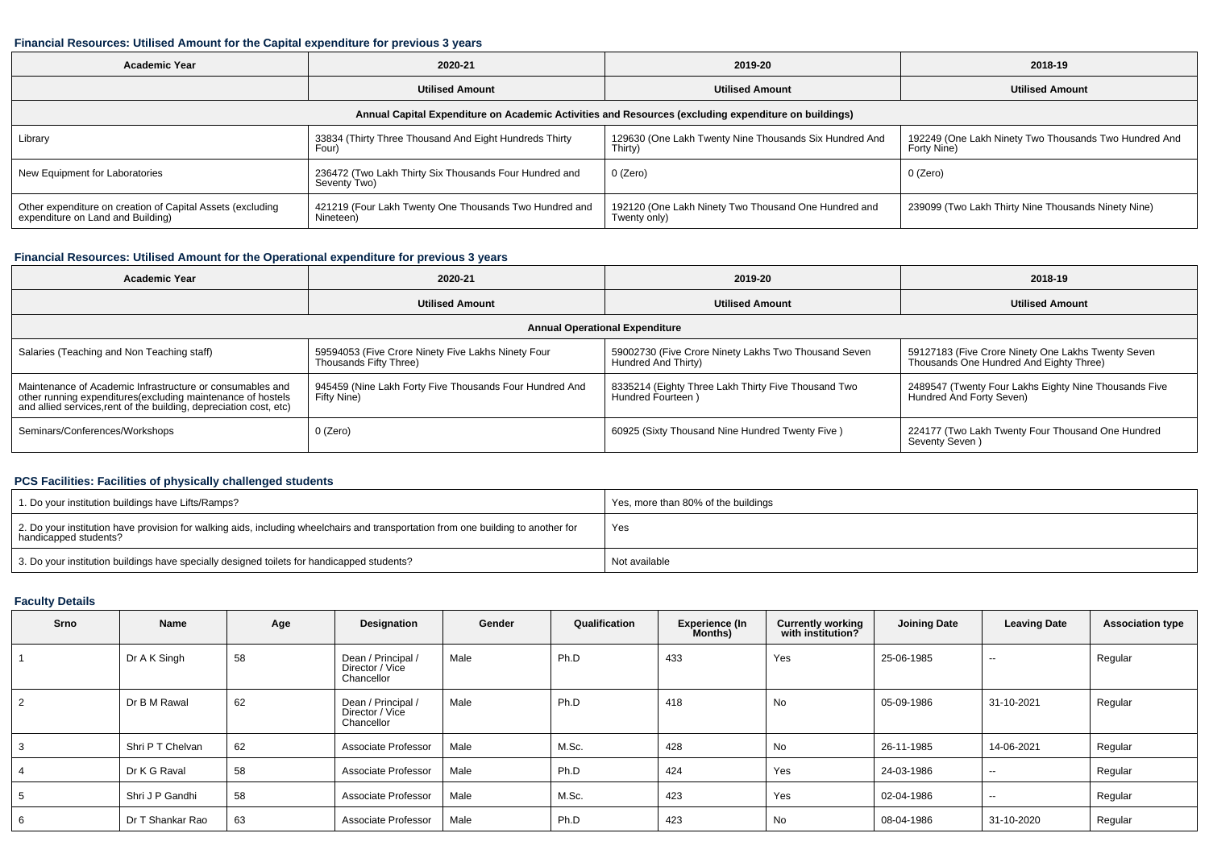# **Financial Resources: Utilised Amount for the Capital expenditure for previous 3 years**

| <b>Academic Year</b>                                                                                 | 2020-21                                                                | 2019-20                                                              | 2018-19                                                              |  |  |  |  |  |  |
|------------------------------------------------------------------------------------------------------|------------------------------------------------------------------------|----------------------------------------------------------------------|----------------------------------------------------------------------|--|--|--|--|--|--|
|                                                                                                      | <b>Utilised Amount</b>                                                 | <b>Utilised Amount</b>                                               | <b>Utilised Amount</b>                                               |  |  |  |  |  |  |
| Annual Capital Expenditure on Academic Activities and Resources (excluding expenditure on buildings) |                                                                        |                                                                      |                                                                      |  |  |  |  |  |  |
| Library                                                                                              | 33834 (Thirty Three Thousand And Eight Hundreds Thirty<br>Four)        | 129630 (One Lakh Twenty Nine Thousands Six Hundred And<br>Thirty)    | 192249 (One Lakh Ninety Two Thousands Two Hundred And<br>Forty Nine) |  |  |  |  |  |  |
| New Equipment for Laboratories                                                                       | 236472 (Two Lakh Thirty Six Thousands Four Hundred and<br>Seventy Two) | 0 (Zero)                                                             | 0 (Zero)                                                             |  |  |  |  |  |  |
| Other expenditure on creation of Capital Assets (excluding<br>expenditure on Land and Building)      | 421219 (Four Lakh Twenty One Thousands Two Hundred and<br>Nineteen)    | 192120 (One Lakh Ninety Two Thousand One Hundred and<br>Twenty only) | 239099 (Two Lakh Thirty Nine Thousands Ninety Nine)                  |  |  |  |  |  |  |

# **Financial Resources: Utilised Amount for the Operational expenditure for previous 3 years**

| <b>Academic Year</b>                                                                                                                                                                            | 2020-21                                                                      | 2019-20                                                                     | 2018-19                                                                                       |  |  |  |  |  |
|-------------------------------------------------------------------------------------------------------------------------------------------------------------------------------------------------|------------------------------------------------------------------------------|-----------------------------------------------------------------------------|-----------------------------------------------------------------------------------------------|--|--|--|--|--|
|                                                                                                                                                                                                 | <b>Utilised Amount</b>                                                       | <b>Utilised Amount</b>                                                      | <b>Utilised Amount</b>                                                                        |  |  |  |  |  |
| <b>Annual Operational Expenditure</b>                                                                                                                                                           |                                                                              |                                                                             |                                                                                               |  |  |  |  |  |
| Salaries (Teaching and Non Teaching staff)                                                                                                                                                      | 59594053 (Five Crore Ninety Five Lakhs Ninety Four<br>Thousands Fifty Three) | 59002730 (Five Crore Ninety Lakhs Two Thousand Seven<br>Hundred And Thirty) | 59127183 (Five Crore Ninety One Lakhs Twenty Seven<br>Thousands One Hundred And Eighty Three) |  |  |  |  |  |
| Maintenance of Academic Infrastructure or consumables and<br>other running expenditures (excluding maintenance of hostels<br>and allied services, rent of the building, depreciation cost, etc) | 945459 (Nine Lakh Forty Five Thousands Four Hundred And<br>Fifty Nine)       | 8335214 (Eighty Three Lakh Thirty Five Thousand Two<br>Hundred Fourteen)    | 2489547 (Twenty Four Lakhs Eighty Nine Thousands Five<br>Hundred And Forty Seven)             |  |  |  |  |  |
| Seminars/Conferences/Workshops                                                                                                                                                                  | $0$ (Zero)                                                                   | 60925 (Sixty Thousand Nine Hundred Twenty Five)                             | 224177 (Two Lakh Twenty Four Thousand One Hundred<br>Seventy Seven)                           |  |  |  |  |  |

# **PCS Facilities: Facilities of physically challenged students**

| 1. Do your institution buildings have Lifts/Ramps?                                                                                                         | Yes, more than 80% of the buildings |
|------------------------------------------------------------------------------------------------------------------------------------------------------------|-------------------------------------|
| 2. Do your institution have provision for walking aids, including wheelchairs and transportation from one building to another for<br>handicapped students? | Yes                                 |
| 3. Do your institution buildings have specially designed toilets for handicapped students?                                                                 | Not available                       |

# **Faculty Details**

| <b>Srno</b> | Name             | Age | Designation                                         | Gender | Qualification | <b>Experience (In</b><br>Months) | <b>Currently working</b><br>with institution? | <b>Joining Date</b> | <b>Leaving Date</b> | <b>Association type</b> |
|-------------|------------------|-----|-----------------------------------------------------|--------|---------------|----------------------------------|-----------------------------------------------|---------------------|---------------------|-------------------------|
|             | Dr A K Singh     | 58  | Dean / Principal /<br>Director / Vice<br>Chancellor | Male   | Ph.D          | 433                              | Yes                                           | 25-06-1985          | $\sim$              | Regular                 |
|             | Dr B M Rawal     | 62  | Dean / Principal /<br>Director / Vice<br>Chancellor | Male   | Ph.D          | 418                              | No                                            | 05-09-1986          | 31-10-2021          | Regular                 |
|             | Shri P T Chelvan | 62  | Associate Professor                                 | Male   | M.Sc.         | 428                              | No                                            | 26-11-1985          | 14-06-2021          | Regular                 |
|             | Dr K G Raval     | 58  | Associate Professor                                 | Male   | Ph.D          | 424                              | Yes                                           | 24-03-1986          | $-$                 | Regular                 |
|             | Shri J P Gandhi  | 58  | Associate Professor                                 | Male   | M.Sc.         | 423                              | Yes                                           | 02-04-1986          | $- -$               | Regular                 |
| 6           | Dr T Shankar Rao | 63  | Associate Professor                                 | Male   | Ph.D          | 423                              | No                                            | 08-04-1986          | 31-10-2020          | Regular                 |